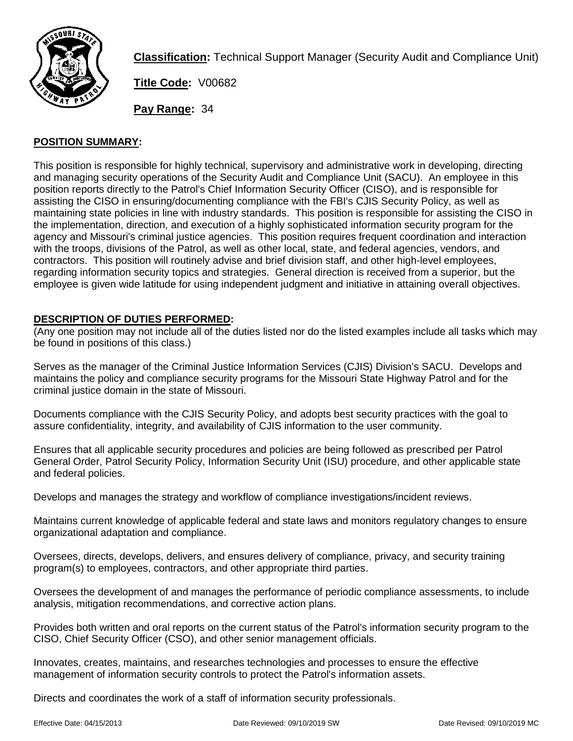

**Classification:** Technical Support Manager (Security Audit and Compliance Unit)

**Title Code:** V00682

**Pay Range:** 34

# **POSITION SUMMARY:**

This position is responsible for highly technical, supervisory and administrative work in developing, directing and managing security operations of the Security Audit and Compliance Unit (SACU). An employee in this position reports directly to the Patrol's Chief Information Security Officer (CISO), and is responsible for assisting the CISO in ensuring/documenting compliance with the FBI's CJIS Security Policy, as well as maintaining state policies in line with industry standards. This position is responsible for assisting the CISO in the implementation, direction, and execution of a highly sophisticated information security program for the agency and Missouri's criminal justice agencies. This position requires frequent coordination and interaction with the troops, divisions of the Patrol, as well as other local, state, and federal agencies, vendors, and contractors. This position will routinely advise and brief division staff, and other high-level employees, regarding information security topics and strategies. General direction is received from a superior, but the employee is given wide latitude for using independent judgment and initiative in attaining overall objectives.

# **DESCRIPTION OF DUTIES PERFORMED:**

(Any one position may not include all of the duties listed nor do the listed examples include all tasks which may be found in positions of this class.)

Serves as the manager of the Criminal Justice Information Services (CJIS) Division's SACU. Develops and maintains the policy and compliance security programs for the Missouri State Highway Patrol and for the criminal justice domain in the state of Missouri.

Documents compliance with the CJIS Security Policy, and adopts best security practices with the goal to assure confidentiality, integrity, and availability of CJIS information to the user community.

Ensures that all applicable security procedures and policies are being followed as prescribed per Patrol General Order, Patrol Security Policy, Information Security Unit (ISU) procedure, and other applicable state and federal policies.

Develops and manages the strategy and workflow of compliance investigations/incident reviews.

Maintains current knowledge of applicable federal and state laws and monitors regulatory changes to ensure organizational adaptation and compliance.

Oversees, directs, develops, delivers, and ensures delivery of compliance, privacy, and security training program(s) to employees, contractors, and other appropriate third parties.

Oversees the development of and manages the performance of periodic compliance assessments, to include analysis, mitigation recommendations, and corrective action plans.

Provides both written and oral reports on the current status of the Patrol's information security program to the CISO, Chief Security Officer (CSO), and other senior management officials.

Innovates, creates, maintains, and researches technologies and processes to ensure the effective management of information security controls to protect the Patrol's information assets.

Directs and coordinates the work of a staff of information security professionals.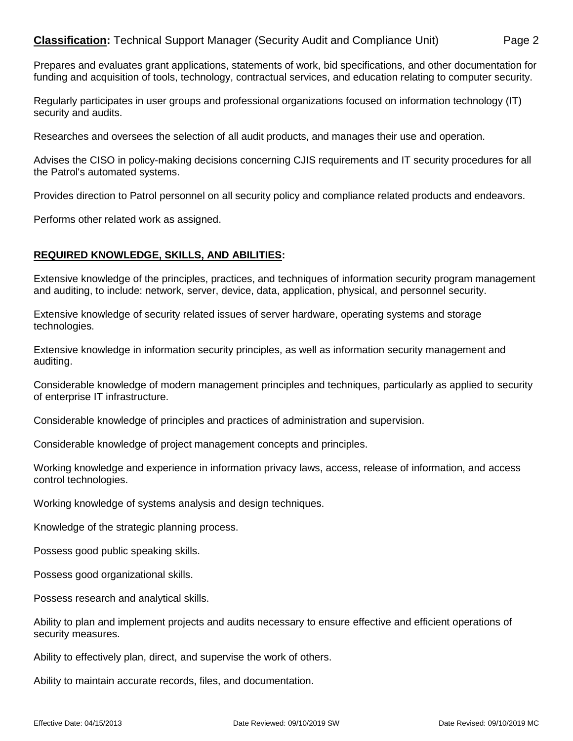# **Classification:** Technical Support Manager (Security Audit and Compliance Unit) Page 2

Prepares and evaluates grant applications, statements of work, bid specifications, and other documentation for funding and acquisition of tools, technology, contractual services, and education relating to computer security.

Regularly participates in user groups and professional organizations focused on information technology (IT) security and audits.

Researches and oversees the selection of all audit products, and manages their use and operation.

Advises the CISO in policy-making decisions concerning CJIS requirements and IT security procedures for all the Patrol's automated systems.

Provides direction to Patrol personnel on all security policy and compliance related products and endeavors.

Performs other related work as assigned.

#### **REQUIRED KNOWLEDGE, SKILLS, AND ABILITIES:**

Extensive knowledge of the principles, practices, and techniques of information security program management and auditing, to include: network, server, device, data, application, physical, and personnel security.

Extensive knowledge of security related issues of server hardware, operating systems and storage technologies.

Extensive knowledge in information security principles, as well as information security management and auditing.

Considerable knowledge of modern management principles and techniques, particularly as applied to security of enterprise IT infrastructure.

Considerable knowledge of principles and practices of administration and supervision.

Considerable knowledge of project management concepts and principles.

Working knowledge and experience in information privacy laws, access, release of information, and access control technologies.

Working knowledge of systems analysis and design techniques.

Knowledge of the strategic planning process.

Possess good public speaking skills.

Possess good organizational skills.

Possess research and analytical skills.

Ability to plan and implement projects and audits necessary to ensure effective and efficient operations of security measures.

Ability to effectively plan, direct, and supervise the work of others.

Ability to maintain accurate records, files, and documentation.